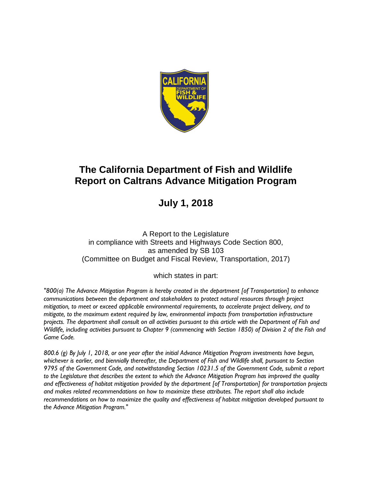

# **July 1, 2018**

A Report to the Legislature in compliance with Streets and Highways Code Section 800, as amended by SB 103 (Committee on Budget and Fiscal Review, Transportation, 2017)

which states in part:

*"800(a) The Advance Mitigation Program is hereby created in the department [of Transportation] to enhance communications between the department and stakeholders to protect natural resources through project mitigation, to meet or exceed applicable environmental requirements, to accelerate project delivery, and to mitigate, to the maximum extent required by law, environmental impacts from transportation infrastructure projects. The department shall consult on all activities pursuant to this article with the Department of Fish and Wildlife, including activities pursuant to Chapter 9 (commencing with Section 1850) of Division 2 of the Fish and Game Code.*

*800.6 (g) By July 1, 2018, or one year after the initial Advance Mitigation Program investments have begun, whichever is earlier, and biennially thereafter, the Department of Fish and Wildlife shall, pursuant to Section 9795 of the Government Code, and notwithstanding Section 10231.5 of the Government Code, submit a report to the Legislature that describes the extent to which the Advance Mitigation Program has improved the quality and effectiveness of habitat mitigation provided by the department [of Transportation] for transportation projects and makes related recommendations on how to maximize these attributes. The report shall also include recommendations on how to maximize the quality and effectiveness of habitat mitigation developed pursuant to the Advance Mitigation Program."*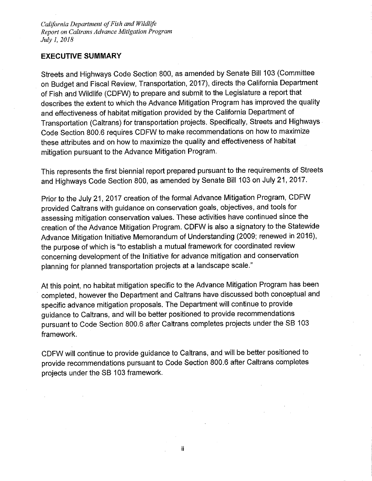#### **EXECUTIVE SUMMARY**

Streets and Highways Code Section 800, as amended by Senate Bill 103 (Committee on Budget and Fiscal Review, Transportation, 2017), directs the California Department of Fish and Wildlife (CDFW) to prepare and submit to the Legislature a report that describes the extent to which the Advance Mitigation Program has improved the quality and effectiveness of habitat mitigation provided by the California Department of Transportation (Caltrans) for transportation projects. Specifically, Streets and Highways Code Section 800.6 requires CDFW to make recommendations on how to maximize these attributes and on how to maximize the quality and effectiveness of habitat mitigation pursuant to the Advance Mitigation Program.

This represents the first biennial report prepared pursuant to the requirements of Streets and Highways Code Section 800, as amended by Senate Bill 103 on July 21, 2017.

Prior to the July 21, 2017 creation of the formal Advance Mitigation Program, CDFW provided Caltrans with guidance on conservation goals, objectives, and tools for assessing mitigation conservation values. These activities have continued since the creation of the Advance Mitigation Program. CDFW is also a signatory to the Statewide Advance Mitigation Initiative Memorandum of Understanding (2009; renewed in 2016), the purpose of which is "to establish a mutual framework for coordinated review concerning development of the Initiative for advance mitigation and conservation planning for planned transportation projects at a landscape scale."

At this point, no habitat mitigation specific to the Advance Mitigation Program has been completed, however the Department and Caltrans have discussed both conceptual and specific advance mitigation proposals. The Department will continue to provide guidance to Caltrans, and will be better positioned to provide recommendations pursuant to Code Section 800.6 after Caltrans completes projects under the SB 103 framework.

CDFW will continue to provide guidance to Caltrans, and will be better positioned to provide recommendations pursuant to Code Section 800.6 after Caltrans completes projects under the SB 103 framework.

ii.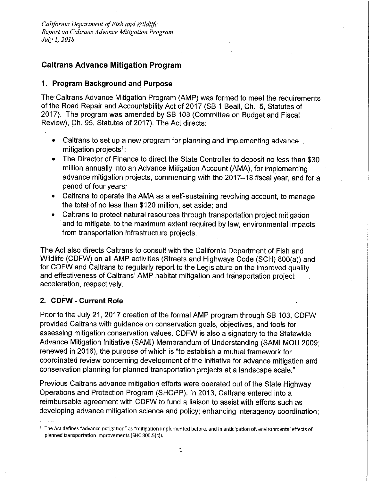## **Caltrans Advance Mitigation Program**

#### 1. Program Background and Purpose

The Caltrans Advance Mitigation Program (AMP) was formed to meet the requirements of the Road Repair and Accountability Act of 2017 (SB 1 Beall, Ch. 5, Statutes of 2017). The program was amended by SB 103 (Committee on Budget and Fiscal Review), Ch. 95, Statutes of 2017). The Act directs:

- Caltrans to set up a new program for planning and implementing advance  $\bullet$ mitigation projects<sup>1</sup>:
- The Director of Finance to direct the State Controller to deposit no less than \$30 million annually into an Advance Mitigation Account (AMA), for implementing advance mitigation projects, commencing with the 2017-18 fiscal year, and for a period of four years;
- Caltrans to operate the AMA as a self-sustaining revolving account, to manage the total of no less than \$120 million, set aside; and
- Caltrans to protect natural resources through transportation project mitigation and to mitigate, to the maximum extent required by law, environmental impacts from transportation infrastructure projects.

The Act also directs Caltrans to consult with the California Department of Fish and Wildlife (CDFW) on all AMP activities (Streets and Highways Code (SCH) 800(a)) and for CDFW and Caltrans to regularly report to the Legislature on the improved quality and effectiveness of Caltrans' AMP habitat mitigation and transportation project acceleration, respectively.

## 2. CDFW - Current Role

Prior to the July 21, 2017 creation of the formal AMP program through SB 103, CDFW provided Caltrans with guidance on conservation goals, objectives, and tools for assessing mitigation conservation values. CDFW is also a signatory to the Statewide Advance Mitigation Initiative (SAMI) Memorandum of Understanding (SAMI MOU 2009; renewed in 2016), the purpose of which is "to establish a mutual framework for coordinated review concerning development of the Initiative for advance mitigation and conservation planning for planned transportation projects at a landscape scale."

Previous Caltrans advance mitigation efforts were operated out of the State Highway Operations and Protection Program (SHOPP). In 2013, Caltrans entered into a reimbursable agreement with CDFW to fund a liaison to assist with efforts such as developing advance mitigation science and policy; enhancing interagency coordination;

<sup>&</sup>lt;sup>1</sup> The Act defines "advance mitigation" as "mitigation implemented before, and in anticipation of, environmental effects of planned transportation improvements (SHC 800.5(c)).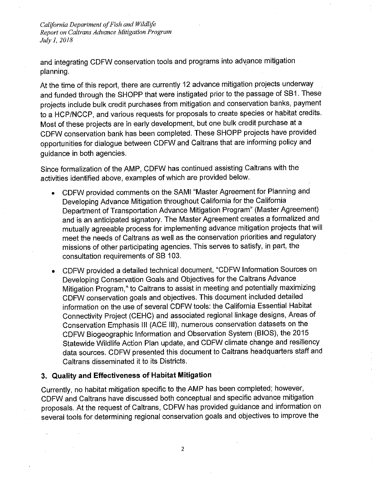and integrating CDFW conservation tools and programs into advance mitigation planning.

At the time of this report, there are currently 12 advance mitigation projects underway and funded through the SHOPP that were instigated prior to the passage of SB1. These projects include bulk credit purchases from mitigation and conservation banks, payment to a HCP/NCCP, and various requests for proposals to create species or habitat credits. Most of these projects are in early development, but one bulk credit purchase at a CDFW conservation bank has been completed. These SHOPP projects have provided opportunities for dialogue between CDFW and Caltrans that are informing policy and guidance in both agencies.

Since formalization of the AMP, CDFW has continued assisting Caltrans with the activities identified above, examples of which are provided below.

- CDFW provided comments on the SAMI "Master Agreement for Planning and Developing Advance Mitigation throughout California for the California Department of Transportation Advance Mitigation Program" (Master Agreement) and is an anticipated signatory. The Master Agreement creates a formalized and mutually agreeable process for implementing advance mitigation projects that will meet the needs of Caltrans as well as the conservation priorities and regulatory missions of other participating agencies. This serves to satisfy, in part, the consultation requirements of SB 103.
- CDFW provided a detailed technical document, "CDFW Information Sources on Developing Conservation Goals and Objectives for the Caltrans Advance Mitigation Program," to Caltrans to assist in meeting and potentially maximizing CDFW conservation goals and objectives. This document included detailed information on the use of several CDFW tools: the California Essential Habitat Connectivity Project (CEHC) and associated regional linkage designs, Areas of Conservation Emphasis III (ACE III), numerous conservation datasets on the CDFW Biogeographic Information and Observation System (BIOS), the 2015 Statewide Wildlife Action Plan update, and CDFW climate change and resiliency data sources. CDFW presented this document to Caltrans headquarters staff and Caltrans disseminated it to its Districts.

## 3. Quality and Effectiveness of Habitat Mitigation

Currently, no habitat mitigation specific to the AMP has been completed; however, CDFW and Caltrans have discussed both conceptual and specific advance mitigation proposals. At the request of Caltrans, CDFW has provided guidance and information on several tools for determining regional conservation goals and objectives to improve the

 $\overline{2}$